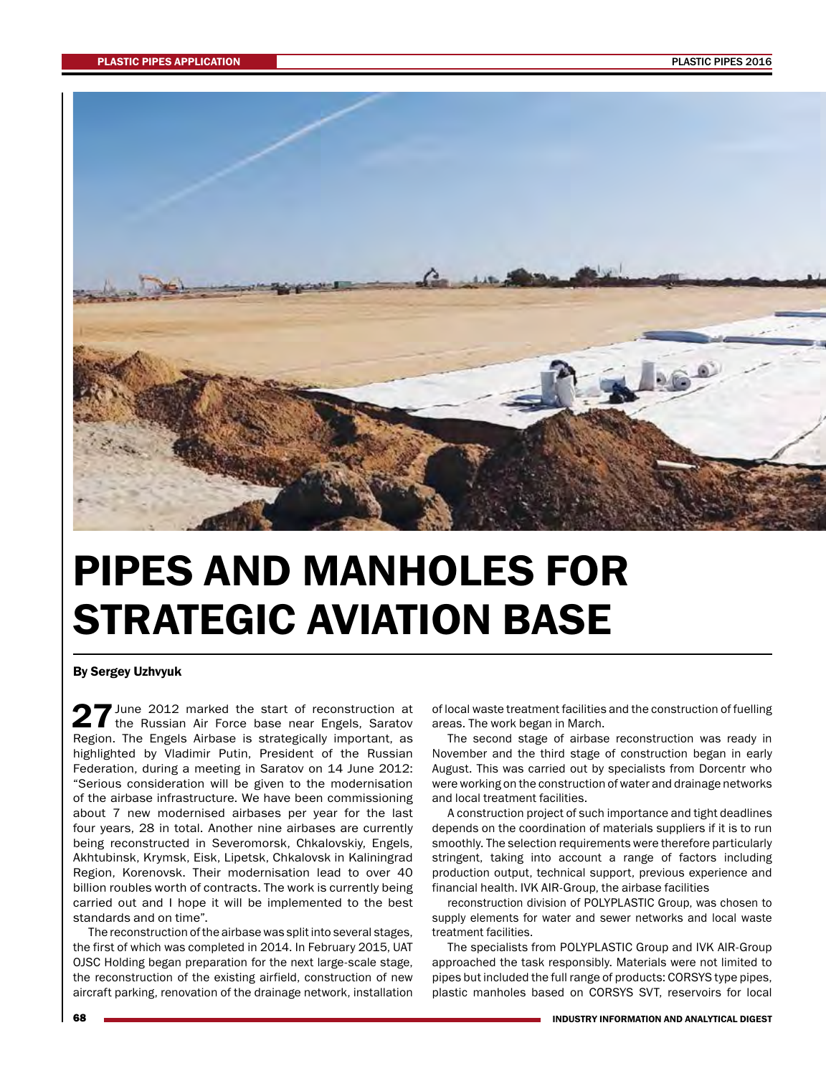

## PIPES AND MANHOLES FOR STRATEGIC AVIATION BASE

By Sergey Uzhvyuk

27 June 2012 marked the start of reconstruction at the Russian Air Force base near Engels, Saratov Region. The Engels Airbase is strategically important, as highlighted by Vladimir Putin, President of the Russian Federation, during a meeting in Saratov on 14 June 2012: "Serious consideration will be given to the modernisation of the airbase infrastructure. We have been commissioning about 7 new modernised airbases per year for the last four years, 28 in total. Another nine airbases are currently being reconstructed in Severomorsk, Chkalovskiy, Engels, Akhtubinsk, Krymsk, Eisk, Lipetsk, Chkalovsk in Kaliningrad Region, Korenovsk. Their modernisation lead to over 40 billion roubles worth of contracts. The work is currently being carried out and I hope it will be implemented to the best standards and on time".

The reconstruction of the airbase was split into several stages, the first of which was completed in 2014. In February 2015, UAT OJSC Holding began preparation for the next large-scale stage, the reconstruction of the existing airfield, construction of new aircraft parking, renovation of the drainage network, installation

of local waste treatment facilities and the construction of fuelling areas. The work began in March.

The second stage of airbase reconstruction was ready in November and the third stage of construction began in early August. This was carried out by specialists from Dorcentr who were working on the construction of water and drainage networks and local treatment facilities.

A construction project of such importance and tight deadlines depends on the coordination of materials suppliers if it is to run smoothly. The selection requirements were therefore particularly stringent, taking into account a range of factors including production output, technical support, previous experience and financial health. IVK AIR-Group, the airbase facilities

reconstruction division of POLYPLASTIC Group, was chosen to supply elements for water and sewer networks and local waste treatment facilities.

The specialists from POLYPLASTIC Group and IVK AIR-Group approached the task responsibly. Materials were not limited to pipes but included the full range of products: CORSYS type pipes, plastic manholes based on CORSYS SVT, reservoirs for local